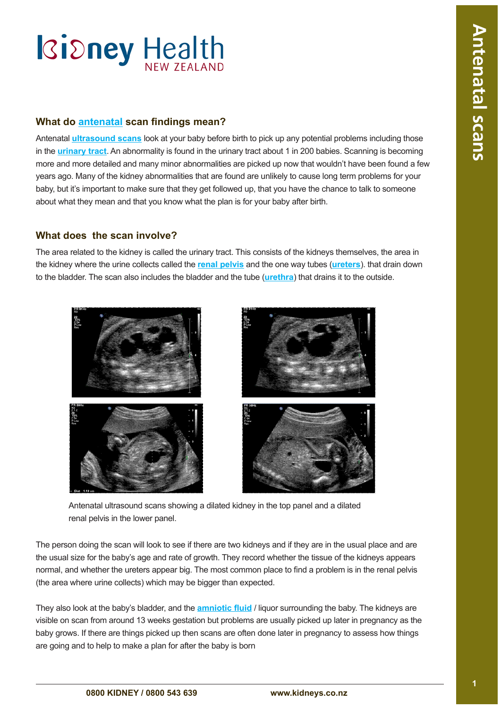### **What do [antenatal](#page-3-0) scan findings mean?**

Antenatal **[ultrasound scans](#page-3-0)** look at your baby before birth to pick up any potential problems including those in the **[urinary tract](#page-3-0)**. An abnormality is found in the urinary tract about 1 in 200 babies. Scanning is becoming more and more detailed and many minor abnormalities are picked up now that wouldn't have been found a few years ago. Many of the kidney abnormalities that are found are unlikely to cause long term problems for your baby, but it's important to make sure that they get followed up, that you have the chance to talk to someone about what they mean and that you know what the plan is for your baby after birth.

### **What does the scan involve?**

The area related to the kidney is called the urinary tract. This consists of the kidneys themselves, the area in the kidney where the urine collects called the **[renal pelvis](#page-3-0)** and the one way tubes (**[ureters](#page-3-0)**). that drain down to the bladder. The scan also includes the bladder and the tube (**urethra**) that drains it to the outside.



Antenatal ultrasound scans showing a dilated kidney in the top panel and a dilated renal pelvis in the lower panel.

The person doing the scan will look to see if there are two kidneys and if they are in the usual place and are the usual size for the baby's age and rate of growth. They record whether the tissue of the kidneys appears normal, and whether the ureters appear big. The most common place to find a problem is in the renal pelvis (the area where urine collects) which may be bigger than expected.

They also look at the baby's bladder, and the **[amniotic flui](#page-3-0)d** / liquor surrounding the baby. The kidneys are visible on scan from around 13 weeks gestation but problems are usually picked up later in pregnancy as the baby grows. If there are things picked up then scans are often done later in pregnancy to assess how things are going and to help to make a plan for after the baby is born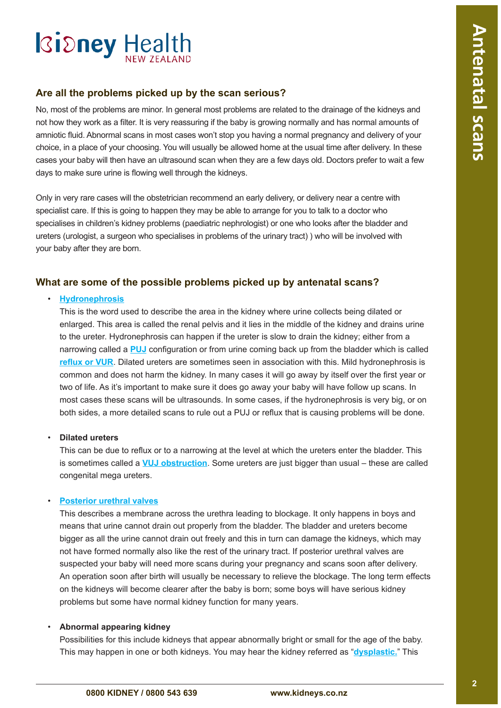### **Are all the problems picked up by the scan serious?**

No, most of the problems are minor. In general most problems are related to the drainage of the kidneys and not how they work as a filter. It is very reassuring if the baby is growing normally and has normal amounts of amniotic fluid. Abnormal scans in most cases won't stop you having a normal pregnancy and delivery of your choice, in a place of your choosing. You will usually be allowed home at the usual time after delivery. In these cases your baby will then have an ultrasound scan when they are a few days old. Doctors prefer to wait a few days to make sure urine is flowing well through the kidneys.

Only in very rare cases will the obstetrician recommend an early delivery, or delivery near a centre with specialist care. If this is going to happen they may be able to arrange for you to talk to a doctor who specialises in children's kidney problems (paediatric nephrologist) or one who looks after the bladder and ureters (urologist, a surgeon who specialises in problems of the urinary tract) ) who will be involved with your baby after they are born.

### **What are some of the possible problems picked up by antenatal scans?**

#### • **[Hydronephrosis](#page-3-0)**

This is the word used to describe the area in the kidney where urine collects being dilated or enlarged. This area is called the renal pelvis and it lies in the middle of the kidney and drains urine to the ureter. Hydronephrosis can happen if the ureter is slow to drain the kidney; either from a narrowing called a **[PUJ](#page-3-0)** configuration or from urine coming back up from the bladder which is called **[reflux or VU](#page-3-0)R**. Dilated ureters are sometimes seen in association with this. Mild hydronephrosis is common and does not harm the kidney. In many cases it will go away by itself over the first year or two of life. As it's important to make sure it does go away your baby will have follow up scans. In most cases these scans will be ultrasounds. In some cases, if the hydronephrosis is very big, or on both sides, a more detailed scans to rule out a PUJ or reflux that is causing problems will be done.

#### • **Dilated ureters**

This can be due to reflux or to a narrowing at the level at which the ureters enter the bladder. This is sometimes called a **[VUJ obstructio](#page-3-0)n**. Some ureters are just bigger than usual – these are called congenital mega ureters.

### • **Posterior urethral valves**

This describes a membrane across the urethra leading to blockage. It only happens in boys and means that urine cannot drain out properly from the bladder. The bladder and ureters become bigger as all the urine cannot drain out freely and this in turn can damage the kidneys, which may not have formed normally also like the rest of the urinary tract. If posterior urethral valves are suspected your baby will need more scans during your pregnancy and scans soon after delivery. An operation soon after birth will usually be necessary to relieve the blockage. The long term effects on the kidneys will become clearer after the baby is born; some boys will have serious kidney problems but some have normal kidney function for many years.

#### • **Abnormal appearing kidney**

Possibilities for this include kidneys that appear abnormally bright or small for the age of the baby. This may happen in one or both kidneys. You may hear the kidney referred as "**[dysplastic](#page-3-0).**" This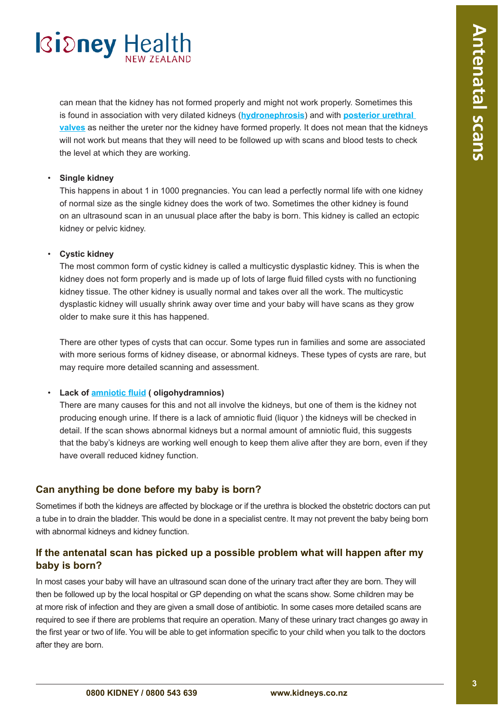can mean that the kidney has not formed properly and might not work properly. Sometimes this is found in association with very dilated kidneys (**[hydronephrosis](#page-3-0)**) and with **[posterior urethral](#page-3-0)  [valves](#page-3-0)** as neither the ureter nor the kidney have formed properly. It does not mean that the kidneys will not work but means that they will need to be followed up with scans and blood tests to check the level at which they are working.

### • **Single kidney**

This happens in about 1 in 1000 pregnancies. You can lead a perfectly normal life with one kidney of normal size as the single kidney does the work of two. Sometimes the other kidney is found on an ultrasound scan in an unusual place after the baby is born. This kidney is called an ectopic kidney or pelvic kidney.

### • **Cystic kidney**

The most common form of cystic kidney is called a multicystic dysplastic kidney. This is when the kidney does not form properly and is made up of lots of large fluid filled cysts with no functioning kidney tissue. The other kidney is usually normal and takes over all the work. The multicystic dysplastic kidney will usually shrink away over time and your baby will have scans as they grow older to make sure it this has happened.

There are other types of cysts that can occur. Some types run in families and some are associated with more serious forms of kidney disease, or abnormal kidneys. These types of cysts are rare, but may require more detailed scanning and assessment.

### • **Lack of [amniotic flui](#page-3-0)d ( oligohydramnios)**

There are many causes for this and not all involve the kidneys, but one of them is the kidney not producing enough urine. If there is a lack of amniotic fluid (liquor ) the kidneys will be checked in detail. If the scan shows abnormal kidneys but a normal amount of amniotic fluid, this suggests that the baby's kidneys are working well enough to keep them alive after they are born, even if they have overall reduced kidney function.

### **Can anything be done before my baby is born?**

Sometimes if both the kidneys are affected by blockage or if the urethra is blocked the obstetric doctors can put a tube in to drain the bladder. This would be done in a specialist centre. It may not prevent the baby being born with abnormal kidneys and kidney function.

### **If the antenatal scan has picked up a possible problem what will happen after my baby is born?**

In most cases your baby will have an ultrasound scan done of the urinary tract after they are born. They will then be followed up by the local hospital or GP depending on what the scans show. Some children may be at more risk of infection and they are given a small dose of antibiotic. In some cases more detailed scans are required to see if there are problems that require an operation. Many of these urinary tract changes go away in the first year or two of life. You will be able to get information specific to your child when you talk to the doctors after they are born.